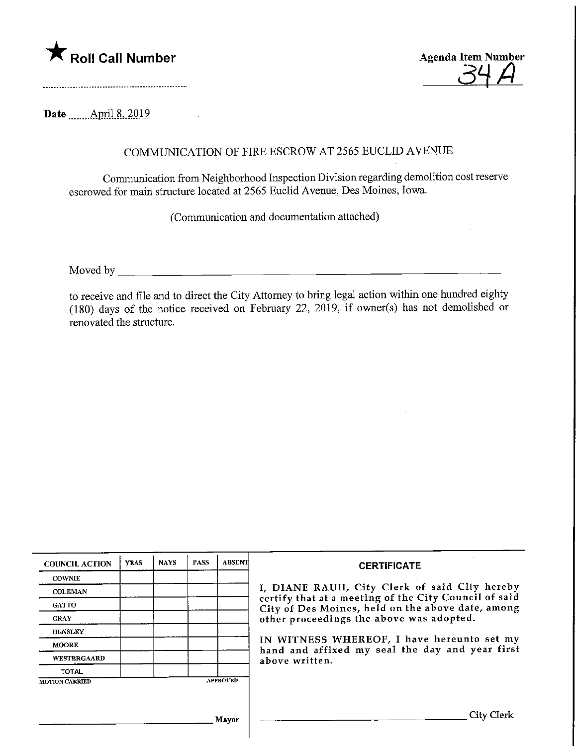



Date ........April.8, 2019

## COMMUNICATION OF FIRE ESCROW AT 2565 EUCLID AVENUE

Communication from Neighborhood Inspection Division regarding demolition cost reserve escrowed for main structure located at 2565 Euclid Avenue, Des Moines, Iowa.

(Communication and documentation attached)

Moved by

to receive and file and to direct the City Attorney to bring legal action within one hundred eighty (180) days of the notice received on Febmary 22, 2019, if owner(s) has not demolished or renovated the structure.

| <b>COUNCIL ACTION</b> | <b>YEAS</b> | <b>NAYS</b> | <b>PASS</b> | <b>ABSENT</b>   | <b>CERTIFICATE</b>                                                                                                                                                                                                                                                                                                         |
|-----------------------|-------------|-------------|-------------|-----------------|----------------------------------------------------------------------------------------------------------------------------------------------------------------------------------------------------------------------------------------------------------------------------------------------------------------------------|
| <b>COWNIE</b>         |             |             |             |                 | I, DIANE RAUH, City Clerk of said City hereby<br>certify that at a meeting of the City Council of said<br>City of Des Moines, held on the above date, among<br>other proceedings the above was adopted.<br>IN WITNESS WHEREOF, I have hereunto set my<br>hand and affixed my seal the day and year first<br>above written. |
| <b>COLEMAN</b>        |             |             |             |                 |                                                                                                                                                                                                                                                                                                                            |
| <b>GATTO</b>          |             |             |             |                 |                                                                                                                                                                                                                                                                                                                            |
| <b>GRAY</b>           |             |             |             |                 |                                                                                                                                                                                                                                                                                                                            |
| <b>HENSLEY</b>        |             |             |             |                 |                                                                                                                                                                                                                                                                                                                            |
| <b>MOORE</b>          |             |             |             |                 |                                                                                                                                                                                                                                                                                                                            |
| <b>WESTERGAARD</b>    |             |             |             |                 |                                                                                                                                                                                                                                                                                                                            |
| <b>TOTAL</b>          |             |             |             |                 |                                                                                                                                                                                                                                                                                                                            |
| <b>MOTION CARRIED</b> |             |             |             | <b>APPROVED</b> |                                                                                                                                                                                                                                                                                                                            |
|                       |             |             |             |                 |                                                                                                                                                                                                                                                                                                                            |
|                       |             |             |             | Mavor           | City Clerk                                                                                                                                                                                                                                                                                                                 |